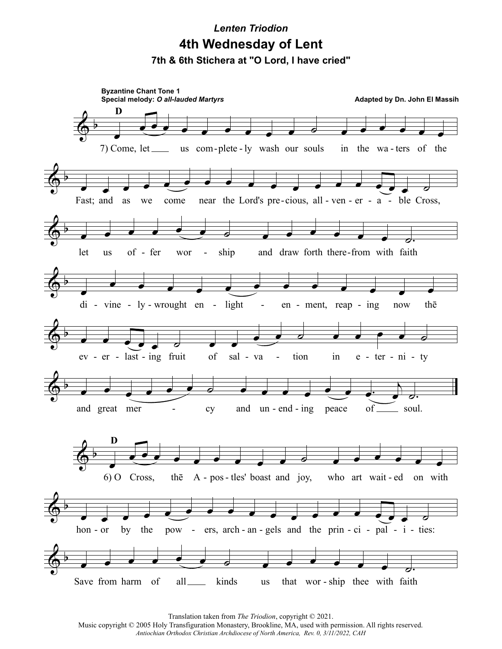## **Lenten Triodion** 4th Wednesday of Lent 7th & 6th Stichera at "O Lord, I have cried"



Translation taken from The Triodion, copyright © 2021.

Music copyright © 2005 Holy Transfiguration Monastery, Brookline, MA, used with permission. All rights reserved. Antiochian Orthodox Christian Archdiocese of North America, Rev. 0, 3/11/2022, CAH